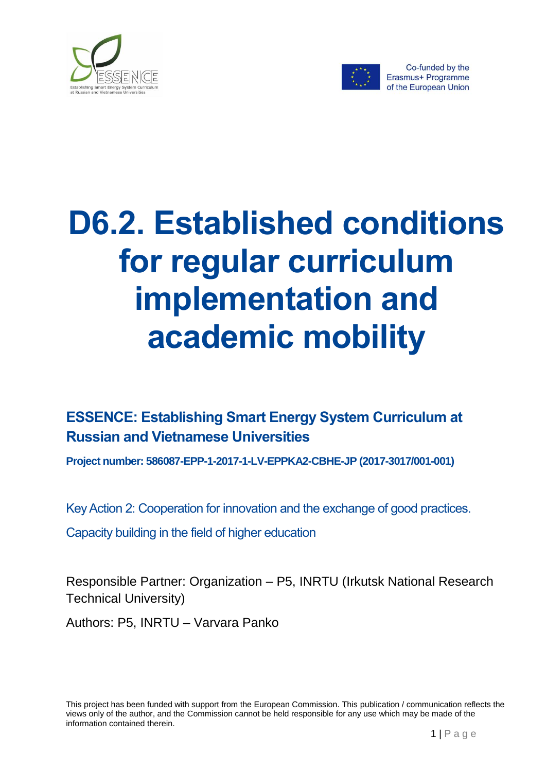



# **D6.2. Established conditions for regular curriculum implementation and academic mobility**

### **ESSENCE: Establishing Smart Energy System Curriculum at Russian and Vietnamese Universities**

**Project number: 586087-EPP-1-2017-1-LV-EPPKA2-CBHE-JP (2017-3017/001-001)**

Key Action 2: Cooperation for innovation and the exchange of good practices.

Capacity building in the field of higher education

Responsible Partner: Organization – P5, INRTU (Irkutsk National Research Technical University)

Authors: P5, INRTU – Varvara Panko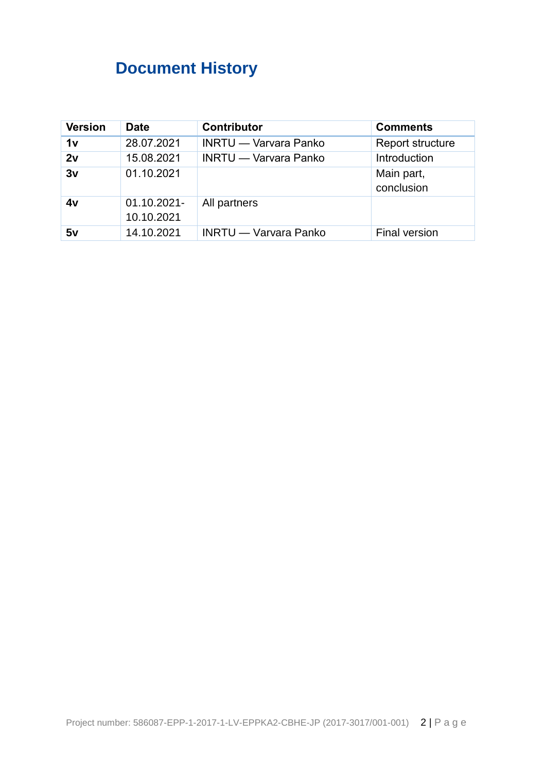# <span id="page-1-0"></span>**Document History**

| <b>Version</b> | <b>Date</b>               | <b>Contributor</b>           | <b>Comments</b>          |
|----------------|---------------------------|------------------------------|--------------------------|
| 1v             | 28.07.2021                | <b>INRTU — Varvara Panko</b> | Report structure         |
| 2v             | 15.08.2021                | <b>INRTU</b> — Varvara Panko | Introduction             |
| 3v             | 01.10.2021                |                              | Main part,<br>conclusion |
| 4v             | 01.10.2021-<br>10.10.2021 | All partners                 |                          |
| 5v             | 14.10.2021                | <b>INRTU</b> — Varvara Panko | Final version            |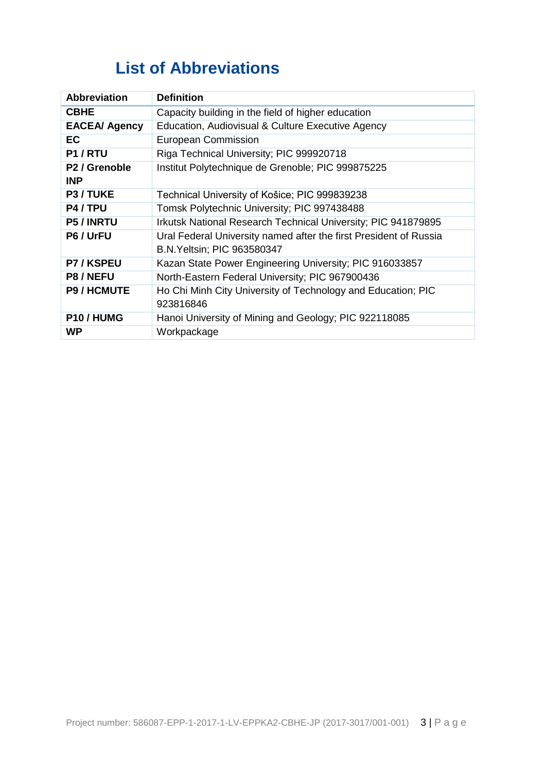### **List of Abbreviations**

<span id="page-2-0"></span>

| <b>Abbreviation</b>                     | <b>Definition</b>                                                                                      |
|-----------------------------------------|--------------------------------------------------------------------------------------------------------|
| <b>CBHE</b>                             | Capacity building in the field of higher education                                                     |
| <b>EACEA/ Agency</b>                    | Education, Audiovisual & Culture Executive Agency                                                      |
| <b>EC</b>                               | <b>European Commission</b>                                                                             |
| P1/RTU                                  | Riga Technical University; PIC 999920718                                                               |
| P <sub>2</sub> / Grenoble<br><b>INP</b> | Institut Polytechnique de Grenoble; PIC 999875225                                                      |
| P3 / TUKE                               | Technical University of Košice; PIC 999839238                                                          |
| P4 / TPU                                | Tomsk Polytechnic University; PIC 997438488                                                            |
| <b>P5 / INRTU</b>                       | Irkutsk National Research Technical University; PIC 941879895                                          |
| P6 / UrFU                               | Ural Federal University named after the first President of Russia<br><b>B.N.Yeltsin; PIC 963580347</b> |
| <b>P7/KSPEU</b>                         | Kazan State Power Engineering University; PIC 916033857                                                |
| P8 / NEFU                               | North-Eastern Federal University; PIC 967900436                                                        |
| <b>P9 / HCMUTE</b>                      | Ho Chi Minh City University of Technology and Education; PIC<br>923816846                              |
| P10/HUMG                                | Hanoi University of Mining and Geology; PIC 922118085                                                  |
| WP                                      | Workpackage                                                                                            |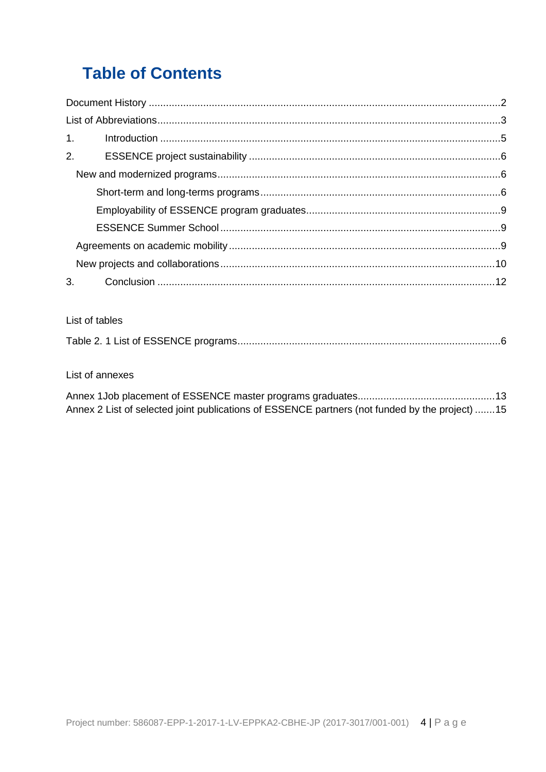# **Table of Contents**

| 1. |  |
|----|--|
|    |  |
|    |  |
|    |  |
|    |  |
|    |  |
|    |  |
|    |  |
|    |  |

#### List of tables

|--|--|

#### List of annexes

| Annex 2 List of selected joint publications of ESSENCE partners (not funded by the project) 15 |  |
|------------------------------------------------------------------------------------------------|--|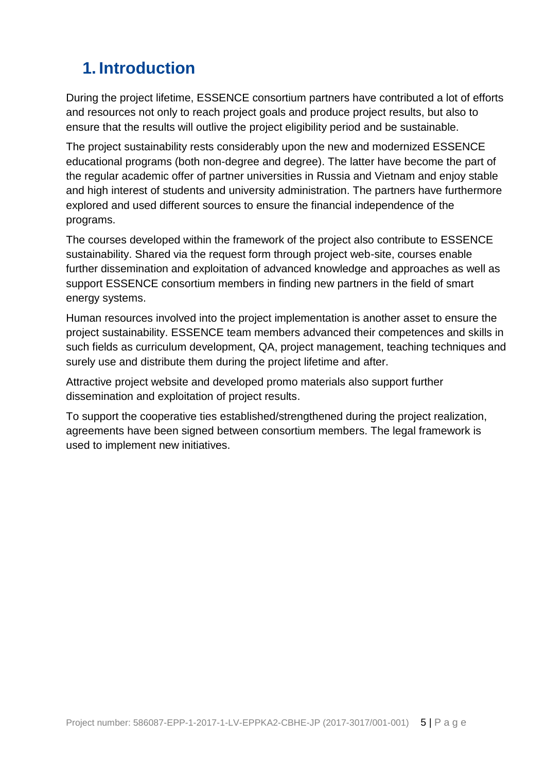## <span id="page-4-0"></span>**1. Introduction**

During the project lifetime, ESSENCE consortium partners have contributed a lot of efforts and resources not only to reach project goals and produce project results, but also to ensure that the results will outlive the project eligibility period and be sustainable.

The project sustainability rests considerably upon the new and modernized ESSENCE educational programs (both non-degree and degree). The latter have become the part of the regular academic offer of partner universities in Russia and Vietnam and enjoy stable and high interest of students and university administration. The partners have furthermore explored and used different sources to ensure the financial independence of the programs.

The courses developed within the framework of the project also contribute to ESSENCE sustainability. Shared via the request form through project web-site, courses enable further dissemination and exploitation of advanced knowledge and approaches as well as support ESSENCE consortium members in finding new partners in the field of smart energy systems.

Human resources involved into the project implementation is another asset to ensure the project sustainability. ESSENCE team members advanced their competences and skills in such fields as curriculum development, QA, project management, teaching techniques and surely use and distribute them during the project lifetime and after.

Attractive project website and developed promo materials also support further dissemination and exploitation of project results.

To support the cooperative ties established/strengthened during the project realization, agreements have been signed between consortium members. The legal framework is used to implement new initiatives.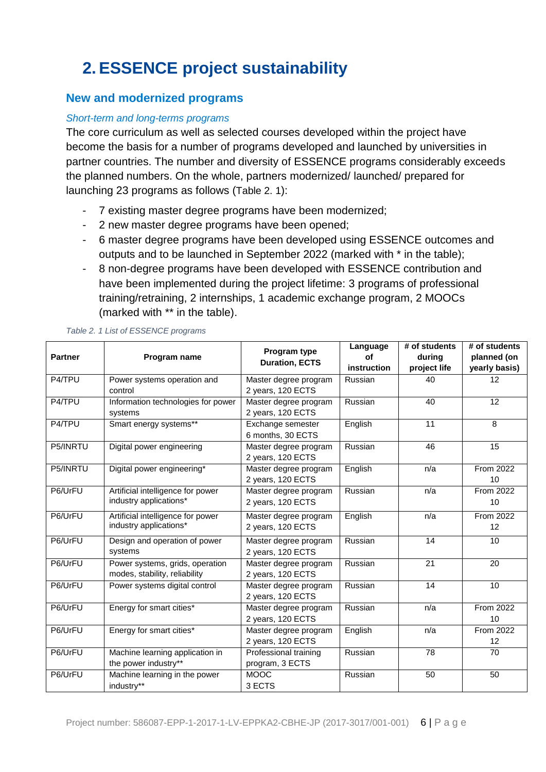# <span id="page-5-0"></span>**2. ESSENCE project sustainability**

### <span id="page-5-1"></span>**New and modernized programs**

#### <span id="page-5-2"></span>*Short-term and long-terms programs*

The core curriculum as well as selected courses developed within the project have become the basis for a number of programs developed and launched by universities in partner countries. The number and diversity of ESSENCE programs considerably exceeds the planned numbers. On the whole, partners modernized/ launched/ prepared for launching 23 programs as follows ([Table 2. 1](#page-5-3)):

- 7 existing master degree programs have been modernized;
- 2 new master degree programs have been opened;
- 6 master degree programs have been developed using ESSENCE outcomes and outputs and to be launched in September 2022 (marked with \* in the table);
- 8 non-degree programs have been developed with ESSENCE contribution and have been implemented during the project lifetime: 3 programs of professional training/retraining, 2 internships, 1 academic exchange program, 2 MOOCs (marked with \*\* in the table).

| <b>Partner</b> | Program name                                                     | Program type<br><b>Duration, ECTS</b>      | Language<br>οf<br>instruction | # of students<br>during<br>project life | # of students<br>planned (on<br>yearly basis) |
|----------------|------------------------------------------------------------------|--------------------------------------------|-------------------------------|-----------------------------------------|-----------------------------------------------|
| P4/TPU         | Power systems operation and<br>control                           | Master degree program<br>2 years, 120 ECTS | Russian                       | 40                                      | 12                                            |
| P4/TPU         | Information technologies for power<br>systems                    | Master degree program<br>2 years, 120 ECTS | Russian                       | 40                                      | 12                                            |
| P4/TPU         | Smart energy systems**                                           | Exchange semester<br>6 months, 30 ECTS     | English                       | 11                                      | 8                                             |
| P5/INRTU       | Digital power engineering                                        | Master degree program<br>2 years, 120 ECTS | Russian                       | 46                                      | 15                                            |
| P5/INRTU       | Digital power engineering*                                       | Master degree program<br>2 years, 120 ECTS | English                       | n/a                                     | <b>From 2022</b><br>10                        |
| P6/UrFU        | Artificial intelligence for power<br>industry applications*      | Master degree program<br>2 years, 120 ECTS | Russian                       | n/a                                     | From 2022<br>10                               |
| P6/UrFU        | Artificial intelligence for power<br>industry applications*      | Master degree program<br>2 years, 120 ECTS | English                       | n/a                                     | From 2022<br>12                               |
| P6/UrFU        | Design and operation of power<br>systems                         | Master degree program<br>2 years, 120 ECTS | Russian                       | 14                                      | 10                                            |
| P6/UrFU        | Power systems, grids, operation<br>modes, stability, reliability | Master degree program<br>2 years, 120 ECTS | Russian                       | 21                                      | 20                                            |
| P6/UrFU        | Power systems digital control                                    | Master degree program<br>2 years, 120 ECTS | Russian                       | 14                                      | 10                                            |
| P6/UrFU        | Energy for smart cities*                                         | Master degree program<br>2 years, 120 ECTS | Russian                       | n/a                                     | From 2022<br>10                               |
| P6/UrFU        | Energy for smart cities*                                         | Master degree program<br>2 years, 120 ECTS | English                       | n/a                                     | From 2022<br>12                               |
| P6/UrFU        | Machine learning application in<br>the power industry**          | Professional training<br>program, 3 ECTS   | Russian                       | 78                                      | 70                                            |
| P6/UrFU        | Machine learning in the power<br>industry**                      | <b>MOOC</b><br>3 ECTS                      | Russian                       | 50                                      | 50                                            |

#### <span id="page-5-3"></span>*Table 2. 1 List of ESSENCE programs*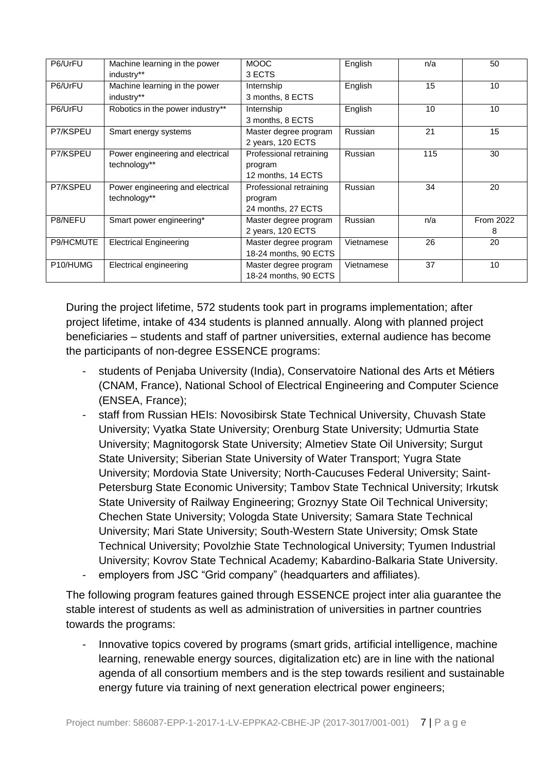| P6/UrFU   | Machine learning in the power    | <b>MOOC</b>             | English    | n/a | 50        |
|-----------|----------------------------------|-------------------------|------------|-----|-----------|
|           | industry**                       | 3 ECTS                  |            |     |           |
| P6/UrFU   | Machine learning in the power    | Internship              | English    | 15  | 10        |
|           | industry**                       | 3 months, 8 ECTS        |            |     |           |
| P6/UrFU   | Robotics in the power industry** | Internship              | English    | 10  | 10        |
|           |                                  | 3 months, 8 ECTS        |            |     |           |
| P7/KSPEU  | Smart energy systems             | Master degree program   | Russian    | 21  | 15        |
|           |                                  | 2 years, 120 ECTS       |            |     |           |
| P7/KSPEU  | Power engineering and electrical | Professional retraining | Russian    | 115 | 30        |
|           | technology**                     | program                 |            |     |           |
|           |                                  | 12 months, 14 ECTS      |            |     |           |
| P7/KSPEU  | Power engineering and electrical | Professional retraining | Russian    | 34  | 20        |
|           | technology**                     | program                 |            |     |           |
|           |                                  | 24 months, 27 ECTS      |            |     |           |
| P8/NEFU   | Smart power engineering*         | Master degree program   | Russian    | n/a | From 2022 |
|           |                                  | 2 years, 120 ECTS       |            |     | 8         |
| P9/HCMUTE | <b>Electrical Engineering</b>    | Master degree program   | Vietnamese | 26  | 20        |
|           |                                  | 18-24 months, 90 ECTS   |            |     |           |
| P10/HUMG  | Electrical engineering           | Master degree program   | Vietnamese | 37  | 10        |
|           |                                  | 18-24 months, 90 ECTS   |            |     |           |

During the project lifetime, 572 students took part in programs implementation; after project lifetime, intake of 434 students is planned annually. Along with planned project beneficiaries – students and staff of partner universities, external audience has become the participants of non-degree ESSENCE programs:

- students of Penjaba University (India), Conservatoire National des Arts et Métiers (CNAM, France), National School of Electrical Engineering and Computer Science (ENSEA, France);
- staff from Russian HEIs: Novosibirsk State Technical University, Chuvash State University; Vyatka State University; Orenburg State University; Udmurtia State University; Magnitogorsk State University; Almetiev State Oil University; Surgut State University; Siberian State University of Water Transport; Yugra State University; Mordovia State University; North-Caucuses Federal University; Saint-Petersburg State Economic University; Tambov State Technical University; Irkutsk State University of Railway Engineering; Groznyy State Oil Technical University; Chechen State University; Vologda State University; Samara State Technical University; Mari State University; South-Western State University; Omsk State Technical University; Povolzhie State Technological University; Tyumen Industrial University; Kovrov State Technical Academy; Kabardino-Balkaria State University.
- employers from JSC "Grid company" (headquarters and affiliates).

The following program features gained through ESSENCE project inter alia guarantee the stable interest of students as well as administration of universities in partner countries towards the programs:

- Innovative topics covered by programs (smart grids, artificial intelligence, machine learning, renewable energy sources, digitalization etc) are in line with the national agenda of all consortium members and is the step towards resilient and sustainable energy future via training of next generation electrical power engineers;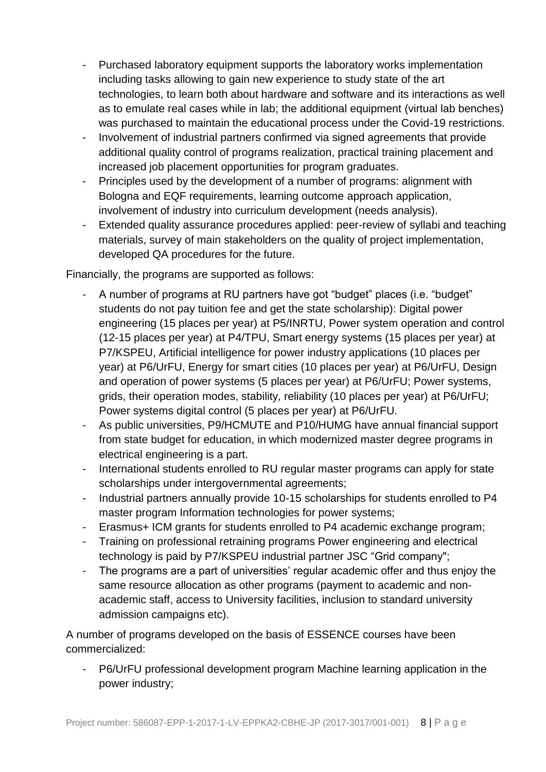- Purchased laboratory equipment supports the laboratory works implementation including tasks allowing to gain new experience to study state of the art technologies, to learn both about hardware and software and its interactions as well as to emulate real cases while in lab; the additional equipment (virtual lab benches) was purchased to maintain the educational process under the Covid-19 restrictions.
- Involvement of industrial partners confirmed via signed agreements that provide additional quality control of programs realization, practical training placement and increased job placement opportunities for program graduates.
- Principles used by the development of a number of programs: alignment with Bologna and EQF requirements, learning outcome approach application, involvement of industry into curriculum development (needs analysis).
- Extended quality assurance procedures applied: peer-review of syllabi and teaching materials, survey of main stakeholders on the quality of project implementation, developed QA procedures for the future.

Financially, the programs are supported as follows:

- A number of programs at RU partners have got "budget" places (i.e. "budget" students do not pay tuition fee and get the state scholarship): Digital power engineering (15 places per year) at P5/INRTU, Power system operation and control (12-15 places per year) at P4/TPU, Smart energy systems (15 places per year) at P7/KSPEU, Artificial intelligence for power industry applications (10 places per year) at P6/UrFU, Energy for smart cities (10 places per year) at P6/UrFU, Design and operation of power systems (5 places per year) at P6/UrFU; Power systems, grids, their operation modes, stability, reliability (10 places per year) at P6/UrFU; Power systems digital control (5 places per year) at P6/UrFU.
- As public universities, P9/HCMUTE and P10/HUMG have annual financial support from state budget for education, in which modernized master degree programs in electrical engineering is a part.
- International students enrolled to RU regular master programs can apply for state scholarships under intergovernmental agreements;
- Industrial partners annually provide 10-15 scholarships for students enrolled to P4 master program Information technologies for power systems;
- Erasmus+ ICM grants for students enrolled to P4 academic exchange program;
- Training on professional retraining programs Power engineering and electrical technology is paid by P7/KSPEU industrial partner JSC "Grid company";
- The programs are a part of universities' regular academic offer and thus enjoy the same resource allocation as other programs (payment to academic and nonacademic staff, access to University facilities, inclusion to standard university admission campaigns etc).

A number of programs developed on the basis of ESSENCE courses have been commercialized:

- P6/UrFU professional development program Machine learning application in the power industry;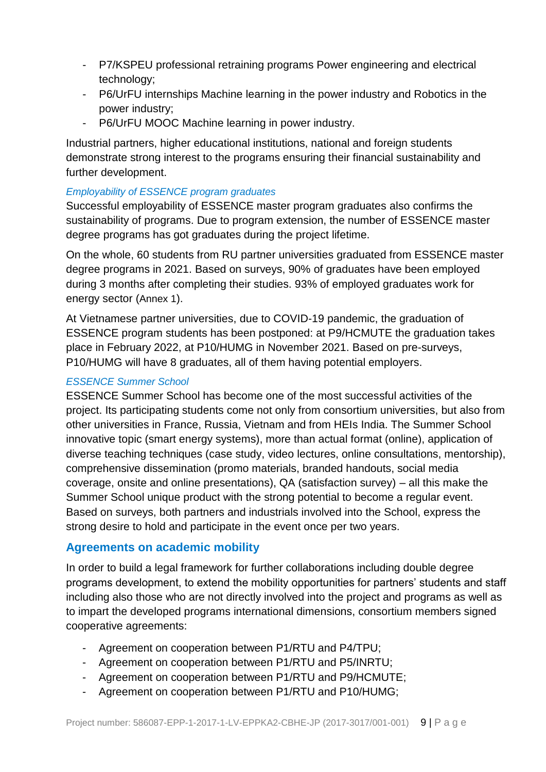- P7/KSPEU professional retraining programs Power engineering and electrical technology;
- P6/UrFU internships Machine learning in the power industry and Robotics in the power industry;
- P6/UrFU MOOC Machine learning in power industry.

Industrial partners, higher educational institutions, national and foreign students demonstrate strong interest to the programs ensuring their financial sustainability and further development.

### <span id="page-8-0"></span>*Employability of ESSENCE program graduates*

Successful employability of ESSENCE master program graduates also confirms the sustainability of programs. Due to program extension, the number of ESSENCE master degree programs has got graduates during the project lifetime.

On the whole, 60 students from RU partner universities graduated from ESSENCE master degree programs in 2021. Based on surveys, 90% of graduates have been employed during 3 months after completing their studies. 93% of employed graduates work for energy sector ([Annex 1](#page-12-0)).

At Vietnamese partner universities, due to COVID-19 pandemic, the graduation of ESSENCE program students has been postponed: at P9/HCMUTE the graduation takes place in February 2022, at P10/HUMG in November 2021. Based on pre-surveys, P10/HUMG will have 8 graduates, all of them having potential employers.

### <span id="page-8-1"></span>*ESSENCE Summer School*

ESSENCE Summer School has become one of the most successful activities of the project. Its participating students come not only from consortium universities, but also from other universities in France, Russia, Vietnam and from HEIs India. The Summer School innovative topic (smart energy systems), more than actual format (online), application of diverse teaching techniques (case study, video lectures, online consultations, mentorship), comprehensive dissemination (promo materials, branded handouts, social media coverage, onsite and online presentations), QA (satisfaction survey) – all this make the Summer School unique product with the strong potential to become a regular event. Based on surveys, both partners and industrials involved into the School, express the strong desire to hold and participate in the event once per two years.

### <span id="page-8-2"></span>**Agreements on academic mobility**

In order to build a legal framework for further collaborations including double degree programs development, to extend the mobility opportunities for partners' students and staff including also those who are not directly involved into the project and programs as well as to impart the developed programs international dimensions, consortium members signed cooperative agreements:

- Agreement on cooperation between P1/RTU and P4/TPU;
- Agreement on cooperation between P1/RTU and P5/INRTU;
- Agreement on cooperation between P1/RTU and P9/HCMUTE;
- Agreement on cooperation between P1/RTU and P10/HUMG;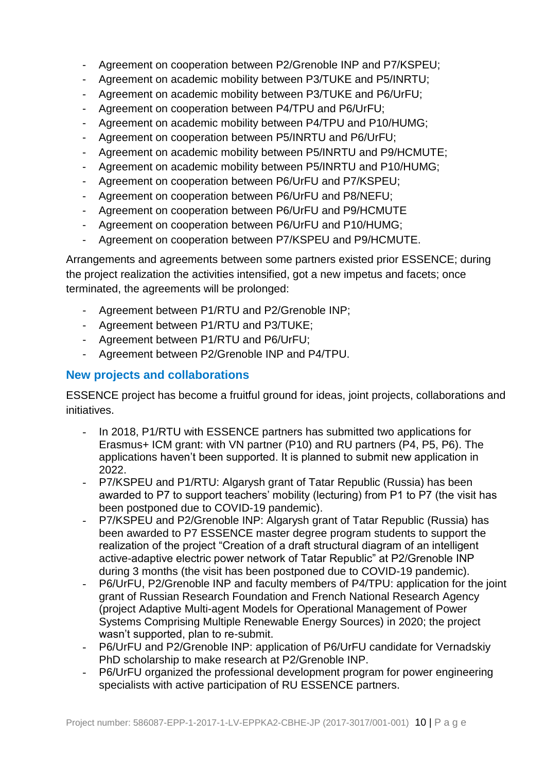- Agreement on cooperation between P2/Grenoble INP and P7/KSPEU;
- Agreement on academic mobility between P3/TUKE and P5/INRTU;
- Agreement on academic mobility between P3/TUKE and P6/UrFU;
- Agreement on cooperation between P4/TPU and P6/UrFU;
- Agreement on academic mobility between P4/TPU and P10/HUMG;
- Agreement on cooperation between P5/INRTU and P6/UrFU;
- Agreement on academic mobility between P5/INRTU and P9/HCMUTE;
- Agreement on academic mobility between P5/INRTU and P10/HUMG;
- Agreement on cooperation between P6/UrFU and P7/KSPEU;
- Agreement on cooperation between P6/UrFU and P8/NEFU;
- Agreement on cooperation between P6/UrFU and P9/HCMUTE
- Agreement on cooperation between P6/UrFU and P10/HUMG;
- Agreement on cooperation between P7/KSPEU and P9/HCMUTE.

Arrangements and agreements between some partners existed prior ESSENCE; during the project realization the activities intensified, got a new impetus and facets; once terminated, the agreements will be prolonged:

- Agreement between P1/RTU and P2/Grenoble INP;
- Agreement between P1/RTU and P3/TUKE;
- Agreement between P1/RTU and P6/UrFU;
- Agreement between P2/Grenoble INP and P4/TPU.

### <span id="page-9-0"></span>**New projects and collaborations**

ESSENCE project has become a fruitful ground for ideas, joint projects, collaborations and initiatives.

- In 2018, P1/RTU with ESSENCE partners has submitted two applications for Erasmus+ ICM grant: with VN partner (P10) and RU partners (P4, P5, P6). The applications haven't been supported. It is planned to submit new application in 2022.
- P7/KSPEU and P1/RTU: Algarysh grant of Tatar Republic (Russia) has been awarded to P7 to support teachers' mobility (lecturing) from P1 to P7 (the visit has been postponed due to COVID-19 pandemic).
- P7/KSPEU and P2/Grenoble INP: Algarysh grant of Tatar Republic (Russia) has been awarded to P7 ESSENCE master degree program students to support the realization of the project "Creation of a draft structural diagram of an intelligent active-adaptive electric power network of Tatar Republic" at P2/Grenoble INP during 3 months (the visit has been postponed due to COVID-19 pandemic).
- P6/UrFU, P2/Grenoble INP and faculty members of P4/TPU: application for the joint grant of Russian Research Foundation and French National Research Agency (project Adaptive Multi-agent Models for Operational Management of Power Systems Comprising Multiple Renewable Energy Sources) in 2020; the project wasn't supported, plan to re-submit.
- P6/UrFU and P2/Grenoble INP: application of P6/UrFU candidate for Vernadskiy PhD scholarship to make research at P2/Grenoble INP.
- P6/UrFU organized the professional development program for power engineering specialists with active participation of RU ESSENCE partners.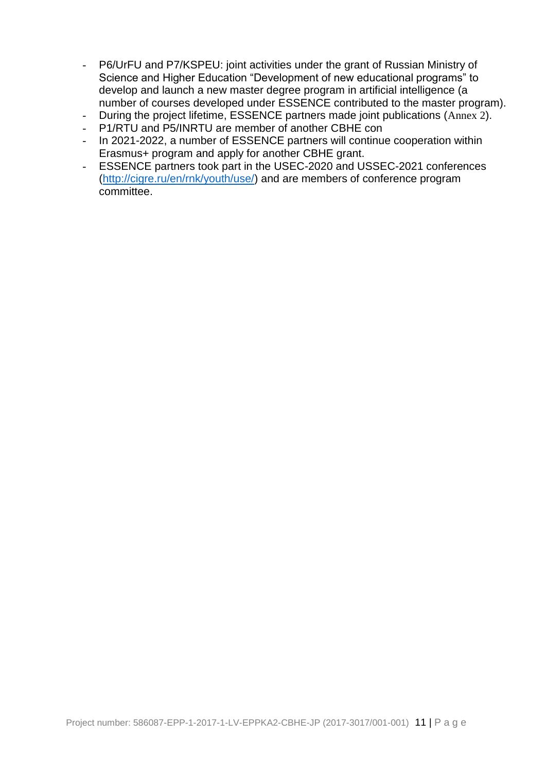- P6/UrFU and P7/KSPEU: joint activities under the grant of Russian Ministry of Science and Higher Education "Development of new educational programs" to develop and launch a new master degree program in artificial intelligence (a number of courses developed under ESSENCE contributed to the master program).
- During the project lifetime, ESSENCE partners made joint publications ([Annex 2](#page-14-0)).
- P1/RTU and P5/INRTU are member of another CBHE con
- In 2021-2022, a number of ESSENCE partners will continue cooperation within Erasmus+ program and apply for another CBHE grant.
- ESSENCE partners took part in the USEC-2020 and USSEC-2021 conferences [\(http://cigre.ru/en/rnk/youth/use/\)](http://cigre.ru/en/rnk/youth/use/) and are members of conference program committee.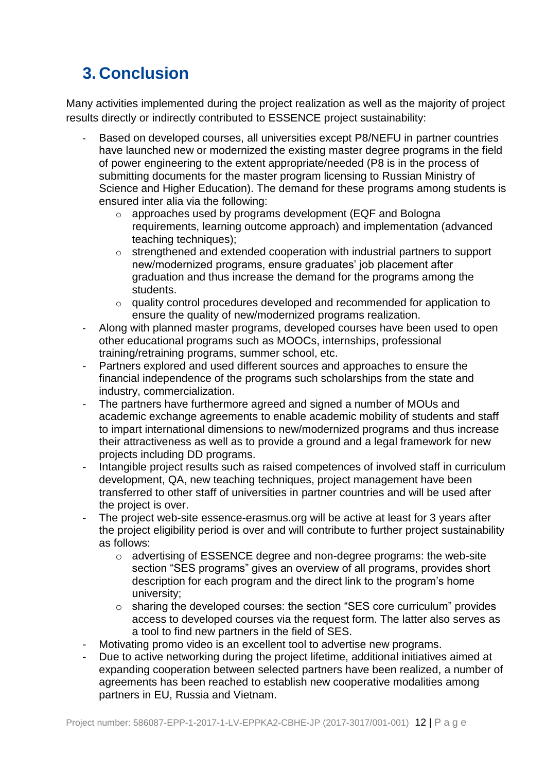## <span id="page-11-0"></span>**3. Conclusion**

Many activities implemented during the project realization as well as the majority of project results directly or indirectly contributed to ESSENCE project sustainability:

- Based on developed courses, all universities except P8/NEFU in partner countries have launched new or modernized the existing master degree programs in the field of power engineering to the extent appropriate/needed (P8 is in the process of submitting documents for the master program licensing to Russian Ministry of Science and Higher Education). The demand for these programs among students is ensured inter alia via the following:
	- o approaches used by programs development (EQF and Bologna requirements, learning outcome approach) and implementation (advanced teaching techniques);
	- $\circ$  strengthened and extended cooperation with industrial partners to support new/modernized programs, ensure graduates' job placement after graduation and thus increase the demand for the programs among the students.
	- o quality control procedures developed and recommended for application to ensure the quality of new/modernized programs realization.
- Along with planned master programs, developed courses have been used to open other educational programs such as MOOCs, internships, professional training/retraining programs, summer school, etc.
- Partners explored and used different sources and approaches to ensure the financial independence of the programs such scholarships from the state and industry, commercialization.
- The partners have furthermore agreed and signed a number of MOUs and academic exchange agreements to enable academic mobility of students and staff to impart international dimensions to new/modernized programs and thus increase their attractiveness as well as to provide a ground and a legal framework for new projects including DD programs.
- Intangible project results such as raised competences of involved staff in curriculum development, QA, new teaching techniques, project management have been transferred to other staff of universities in partner countries and will be used after the project is over.
- The project web-site essence-erasmus.org will be active at least for 3 years after the project eligibility period is over and will contribute to further project sustainability as follows:
	- $\circ$  advertising of ESSENCE degree and non-degree programs: the web-site section "SES programs" gives an overview of all programs, provides short description for each program and the direct link to the program's home university;
	- o sharing the developed courses: the section "SES core curriculum" provides access to developed courses via the request form. The latter also serves as a tool to find new partners in the field of SES.
- Motivating promo video is an excellent tool to advertise new programs.
- Due to active networking during the project lifetime, additional initiatives aimed at expanding cooperation between selected partners have been realized, a number of agreements has been reached to establish new cooperative modalities among partners in EU, Russia and Vietnam.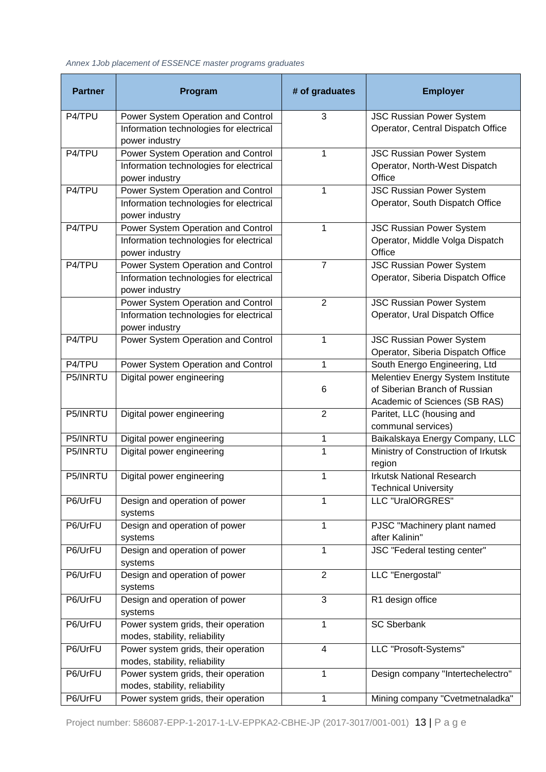<span id="page-12-0"></span>*Annex 1Job placement of ESSENCE master programs graduates* 

| <b>Partner</b>       | Program                                                                                         | # of graduates | <b>Employer</b>                                                                                     |
|----------------------|-------------------------------------------------------------------------------------------------|----------------|-----------------------------------------------------------------------------------------------------|
| $\overline{P4/T}$ PU | Power System Operation and Control<br>Information technologies for electrical<br>power industry | 3              | <b>JSC Russian Power System</b><br>Operator, Central Dispatch Office                                |
| P4/TPU               | Power System Operation and Control<br>Information technologies for electrical<br>power industry | 1              | <b>JSC Russian Power System</b><br>Operator, North-West Dispatch<br>Office                          |
| P4/TPU               | Power System Operation and Control<br>Information technologies for electrical<br>power industry | 1              | <b>JSC Russian Power System</b><br>Operator, South Dispatch Office                                  |
| P4/TPU               | Power System Operation and Control<br>Information technologies for electrical<br>power industry | 1              | <b>JSC Russian Power System</b><br>Operator, Middle Volga Dispatch<br>Office                        |
| P4/TPU               | Power System Operation and Control<br>Information technologies for electrical<br>power industry | $\overline{7}$ | <b>JSC Russian Power System</b><br>Operator, Siberia Dispatch Office                                |
|                      | Power System Operation and Control<br>Information technologies for electrical<br>power industry | $\overline{2}$ | <b>JSC Russian Power System</b><br>Operator, Ural Dispatch Office                                   |
| P4/TPU               | Power System Operation and Control                                                              | 1              | <b>JSC Russian Power System</b><br>Operator, Siberia Dispatch Office                                |
| P4/TPU               | Power System Operation and Control                                                              | 1              | South Energo Engineering, Ltd                                                                       |
| P5/INRTU             | Digital power engineering                                                                       | 6              | Melentiev Energy System Institute<br>of Siberian Branch of Russian<br>Academic of Sciences (SB RAS) |
| P5/INRTU             | Digital power engineering                                                                       | $\overline{2}$ | Paritet, LLC (housing and<br>communal services)                                                     |
| P5/INRTU             | Digital power engineering                                                                       | 1              | Baikalskaya Energy Company, LLC                                                                     |
| P5/INRTU             | Digital power engineering                                                                       | 1              | Ministry of Construction of Irkutsk<br>region                                                       |
| P5/INRTU             | Digital power engineering                                                                       | 1              | <b>Irkutsk National Research</b><br><b>Technical University</b>                                     |
| P6/UrFU              | Design and operation of power<br>systems                                                        | 1              | LLC "UralORGRES"                                                                                    |
| P6/UrFU              | Design and operation of power<br>systems                                                        | 1              | PJSC "Machinery plant named<br>after Kalinin"                                                       |
| P6/UrFU              | Design and operation of power<br>systems                                                        | 1              | JSC "Federal testing center"                                                                        |
| P6/UrFU              | Design and operation of power<br>systems                                                        | $\overline{2}$ | LLC "Energostal"                                                                                    |
| P6/UrFU              | Design and operation of power<br>systems                                                        | 3              | R1 design office                                                                                    |
| P6/UrFU              | Power system grids, their operation<br>modes, stability, reliability                            | 1              | <b>SC Sberbank</b>                                                                                  |
| P6/UrFU              | Power system grids, their operation<br>modes, stability, reliability                            | 4              | LLC "Prosoft-Systems"                                                                               |
| P6/UrFU              | Power system grids, their operation<br>modes, stability, reliability                            | 1              | Design company "Intertechelectro"                                                                   |
| P6/UrFU              | Power system grids, their operation                                                             | $\mathbf 1$    | Mining company "Cvetmetnaladka"                                                                     |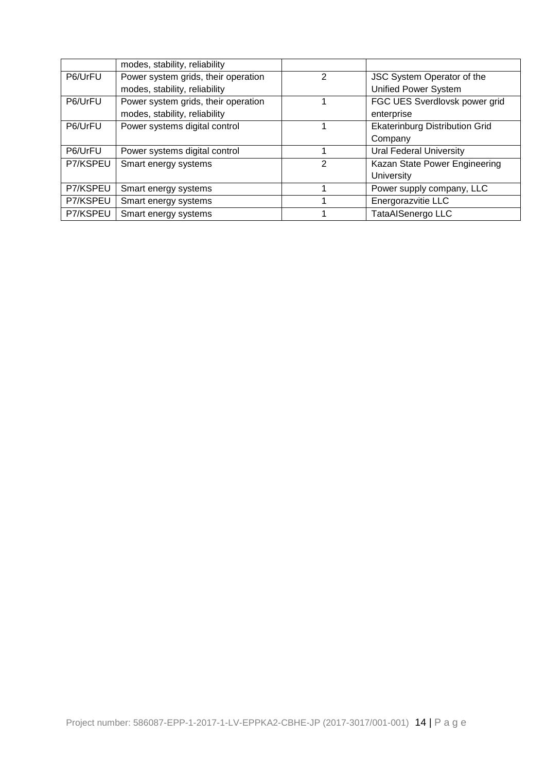|          | modes, stability, reliability       |               |                                       |
|----------|-------------------------------------|---------------|---------------------------------------|
| P6/UrFU  | Power system grids, their operation | $\mathcal{P}$ | JSC System Operator of the            |
|          | modes, stability, reliability       |               | <b>Unified Power System</b>           |
| P6/UrFU  | Power system grids, their operation |               | FGC UES Sverdlovsk power grid         |
|          | modes, stability, reliability       |               | enterprise                            |
| P6/UrFU  | Power systems digital control       |               | <b>Ekaterinburg Distribution Grid</b> |
|          |                                     |               | Company                               |
| P6/UrFU  | Power systems digital control       |               | <b>Ural Federal University</b>        |
| P7/KSPEU | Smart energy systems                | 2             | Kazan State Power Engineering         |
|          |                                     |               | University                            |
| P7/KSPEU | Smart energy systems                |               | Power supply company, LLC             |
| P7/KSPEU | Smart energy systems                |               | Energorazvitie LLC                    |
| P7/KSPEU | Smart energy systems                |               | TataAlSenergo LLC                     |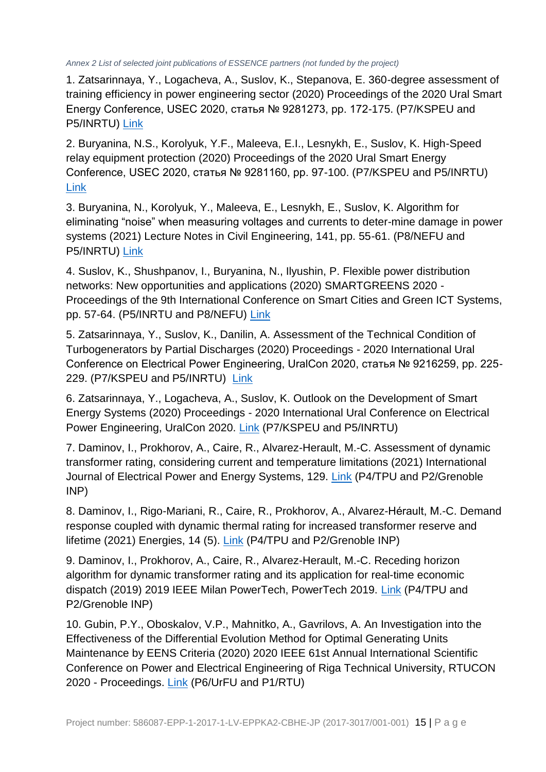<span id="page-14-0"></span>*Annex 2 List of selected joint publications of ESSENCE partners (not funded by the project)* 

1. Zatsarinnaya, Y., Logacheva, A., Suslov, K., Stepanova, E. 360-degree assessment of training efficiency in power engineering sector (2020) Proceedings of the 2020 Ural Smart Energy Conference, USEC 2020, статья № 9281273, pp. 172-175. (P7/KSPEU and P5/INRTU) [Link](https://www.scopus.com/record/display.uri?eid=2-s2.0-85099192782&doi=10.1109%2fUSEC50097.2020.9281273&origin=inward&txGid=f959369bc208964182086a990daf6f3c)

2. Buryanina, N.S., Korolyuk, Y.F., Maleeva, E.I., Lesnykh, E., Suslov, K. High-Speed relay equipment protection (2020) Proceedings of the 2020 Ural Smart Energy Conference, USEC 2020, статья № 9281160, pp. 97-100. (P7/KSPEU and P5/INRTU) [Link](https://www.scopus.com/record/display.uri?eid=2-s2.0-85099202125&doi=10.1109%2fUSEC50097.2020.9281160&origin=inward&txGid=f39b019914125f042c865af6af4521cf)

3. Buryanina, N., Korolyuk, Y., Maleeva, E., Lesnykh, E., Suslov, K. Algorithm for eliminating "noise" when measuring voltages and currents to deter-mine damage in power systems (2021) Lecture Notes in Civil Engineering, 141, pp. 55-61. (P8/NEFU and P5/INRTU) [Link](https://www.scopus.com/record/display.uri?eid=2-s2.0-85101866440&doi=10.1007%2f978-3-030-67654-4_7&origin=inward&txGid=c823ffd7d631f80776383f886e3f66ac)

4. Suslov, K., Shushpanov, I., Buryanina, N., Ilyushin, P. Flexible power distribution networks: New opportunities and applications (2020) SMARTGREENS 2020 - Proceedings of the 9th International Conference on Smart Cities and Green ICT Systems, pp. 57-64. (P5/INRTU and P8/NEFU) [Link](https://www.scopus.com/record/display.uri?eid=2-s2.0-85091400619&origin=inward&txGid=4b8fde542c6193f7c29576a49898063b)

5. Zatsarinnaya, Y., Suslov, K., Danilin, A. Assessment of the Technical Condition of Turbogenerators by Partial Discharges (2020) Proceedings - 2020 International Ural Conference on Electrical Power Engineering, UralCon 2020, статья № 9216259, pp. 225- 229. (P7/KSPEU and P5/INRTU) [Link](https://www.scopus.com/record/display.uri?eid=2-s2.0-85094638787&doi=10.1109%2fUralCon49858.2020.9216259&origin=inward&txGid=3acc15bb9e976200a6cb27798de892dc)

6. Zatsarinnaya, Y., Logacheva, A., Suslov, K. Outlook on the Development of Smart Energy Systems (2020) Proceedings - 2020 International Ural Conference on Electrical Power Engineering, UralCon 2020. [Link](https://www.scopus.com/inward/record.uri?eid=2-s2.0-85094676465&doi=10.1109%2fUralCon49858.2020.9216266&partnerID=40&md5=71b559d6998bd87c7ea73532d91b9345) (P7/KSPEU and P5/INRTU)

7. Daminov, I., Prokhorov, A., Caire, R., Alvarez-Herault, M.-C. Assessment of dynamic transformer rating, considering current and temperature limitations (2021) International Journal of Electrical Power and Energy Systems, 129. [Link](https://www.scopus.com/inward/record.uri?eid=2-s2.0-85101235827&doi=10.1016%2fj.ijepes.2021.106886&partnerID=40&md5=419a947061690dd225219ac974e7f4ce) (P4/TPU and P2/Grenoble INP)

8. Daminov, I., Rigo-Mariani, R., Caire, R., Prokhorov, A., Alvarez-Hérault, M.-C. Demand response coupled with dynamic thermal rating for increased transformer reserve and lifetime (2021) Energies, 14 (5). [Link](https://www.scopus.com/inward/record.uri?eid=2-s2.0-85106299304&doi=10.3390%2fen14051378&partnerID=40&md5=070e6a1a28900f8fdfdbb39d5f1e394b) (P4/TPU and P2/Grenoble INP)

9. Daminov, I., Prokhorov, A., Caire, R., Alvarez-Herault, M.-C. Receding horizon algorithm for dynamic transformer rating and its application for real-time economic dispatch (2019) 2019 IEEE Milan PowerTech, PowerTech 2019. [Link](https://www.scopus.com/inward/record.uri?eid=2-s2.0-85072312147&doi=10.1109%2fPTC.2019.8810511&partnerID=40&md5=13ed816ebf700beaab315e4f1762f9c5) (P4/TPU and P2/Grenoble INP)

10. Gubin, P.Y., Oboskalov, V.P., Mahnitko, A., Gavrilovs, A. An Investigation into the Effectiveness of the Differential Evolution Method for Optimal Generating Units Maintenance by EENS Criteria (2020) 2020 IEEE 61st Annual International Scientific Conference on Power and Electrical Engineering of Riga Technical University, RTUCON 2020 - Proceedings. [Link](https://www.scopus.com/inward/record.uri?eid=2-s2.0-85100004219&doi=10.1109%2fRTUCON51174.2020.9316580&partnerID=40&md5=5ddfb836025c6dc446e5a4097e349657) (P6/UrFU and P1/RTU)